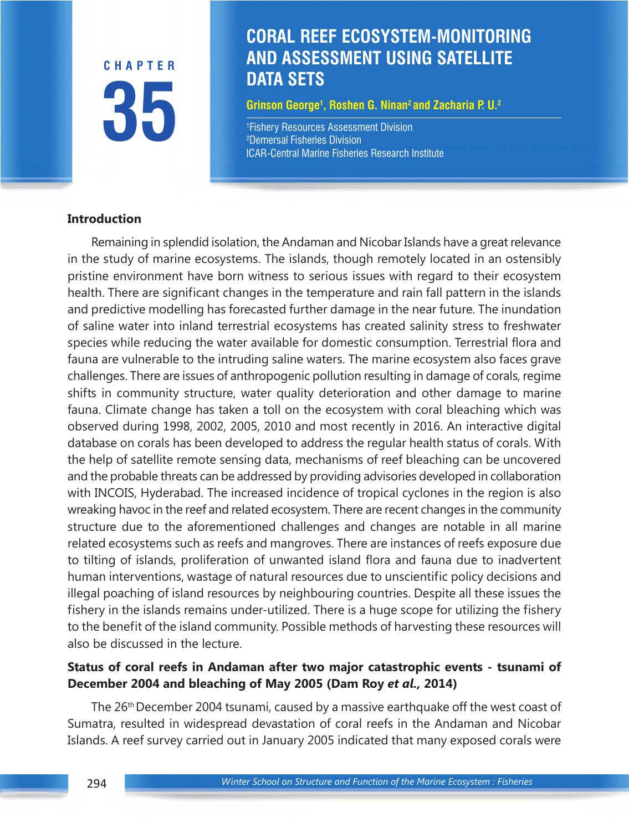**35 CHAPTER**

# *Coral reef ecosystem-monitoring and assessment using satellite data sets* **DATA SETS CORAL REEF ECOSYSTEM-MONITORING AND ASSESSMENT USING SATELLITE**

**Grinson George1 , Roshen G. Ninan2 and Zacharia P. U.2**

1 Fishery Resources Assessment Division 2 Demersal Fisheries Division ICAR-Central Marine Fisheries Research Institute

#### **Introduction**

Remaining in splendid isolation, the Andaman and Nicobar Islands have a great relevance in the study of marine ecosystems. The islands, though remotely located in an ostensibly pristine environment have born witness to serious issues with regard to their ecosystem health. There are significant changes in the temperature and rain fall pattern in the islands and predictive modelling has forecasted further damage in the near future. The inundation of saline water into inland terrestrial ecosystems has created salinity stress to freshwater species while reducing the water available for domestic consumption. Terrestrial flora and fauna are vulnerable to the intruding saline waters. The marine ecosystem also faces grave challenges. There are issues of anthropogenic pollution resulting in damage of corals, regime shifts in community structure, water quality deterioration and other damage to marine fauna. Climate change has taken a toll on the ecosystem with coral bleaching which was observed during 1998, 2002, 2005, 2010 and most recently in 2016. An interactive digital database on corals has been developed to address the regular health status of corals. With the help of satellite remote sensing data, mechanisms of reef bleaching can be uncovered and the probable threats can be addressed by providing advisories developed in collaboration with INCOIS, Hyderabad. The increased incidence of tropical cyclones in the region is also wreaking havoc in the reef and related ecosystem. There are recent changes in the community structure due to the aforementioned challenges and changes are notable in all marine related ecosystems such as reefs and mangroves. There are instances of reefs exposure due to tilting of islands, proliferation of unwanted island flora and fauna due to inadvertent human interventions, wastage of natural resources due to unscientific policy decisions and illegal poaching of island resources by neighbouring countries. Despite all these issues the fishery in the islands remains under-utilized. There is a huge scope for utilizing the fishery to the benefit of the island community. Possible methods of harvesting these resources will also be discussed in the lecture.

#### **Status of coral reefs in Andaman after two major catastrophic events - tsunami of December 2004 and bleaching of May 2005 (Dam Roy** *et al.,* **2014)**

The 26th December 2004 tsunami, caused by a massive earthquake off the west coast of Sumatra, resulted in widespread devastation of coral reefs in the Andaman and Nicobar Islands. A reef survey carried out in January 2005 indicated that many exposed corals were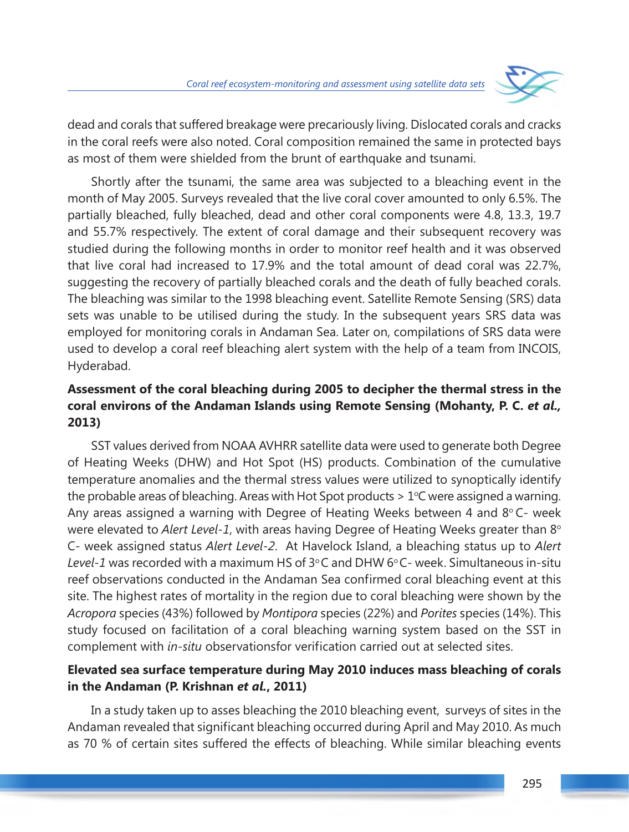

dead and corals that suffered breakage were precariously living. Dislocated corals and cracks in the coral reefs were also noted. Coral composition remained the same in protected bays as most of them were shielded from the brunt of earthquake and tsunami.

Shortly after the tsunami, the same area was subjected to a bleaching event in the month of May 2005. Surveys revealed that the live coral cover amounted to only 6.5%. The partially bleached, fully bleached, dead and other coral components were 4.8, 13.3, 19.7 and 55.7% respectively. The extent of coral damage and their subsequent recovery was studied during the following months in order to monitor reef health and it was observed that live coral had increased to 17.9% and the total amount of dead coral was 22.7%, suggesting the recovery of partially bleached corals and the death of fully beached corals. The bleaching was similar to the 1998 bleaching event. Satellite Remote Sensing (SRS) data sets was unable to be utilised during the study. In the subsequent years SRS data was employed for monitoring corals in Andaman Sea. Later on, compilations of SRS data were used to develop a coral reef bleaching alert system with the help of a team from INCOIS, Hyderabad.

## **Assessment of the coral bleaching during 2005 to decipher the thermal stress in the coral environs of the Andaman Islands using Remote Sensing (Mohanty, P. C.** *et al.,* **2013)**

SST values derived from NOAA AVHRR satellite data were used to generate both Degree of Heating Weeks (DHW) and Hot Spot (HS) products. Combination of the cumulative temperature anomalies and the thermal stress values were utilized to synoptically identify the probable areas of bleaching. Areas with Hot Spot products >  $1^{\circ}$ C were assigned a warning. Any areas assigned a warning with Degree of Heating Weeks between 4 and  $8^{\circ}$  C- week were elevated to Alert Level-1, with areas having Degree of Heating Weeks greater than 8° C- week assigned status *Alert Level-2*. At Havelock Island, a bleaching status up to *Alert* Level-1 was recorded with a maximum HS of 3°C and DHW 6°C- week. Simultaneous in-situ reef observations conducted in the Andaman Sea confirmed coral bleaching event at this site. The highest rates of mortality in the region due to coral bleaching were shown by the *Acropora* species (43%) followed by *Montipora* species (22%) and *Porites* species (14%). This study focused on facilitation of a coral bleaching warning system based on the SST in complement with *in-situ* observationsfor verification carried out at selected sites.

### **Elevated sea surface temperature during May 2010 induces mass bleaching of corals in the Andaman (P. Krishnan** *et al.***, 2011)**

In a study taken up to asses bleaching the 2010 bleaching event, surveys of sites in the Andaman revealed that significant bleaching occurred during April and May 2010. As much as 70 % of certain sites suffered the effects of bleaching. While similar bleaching events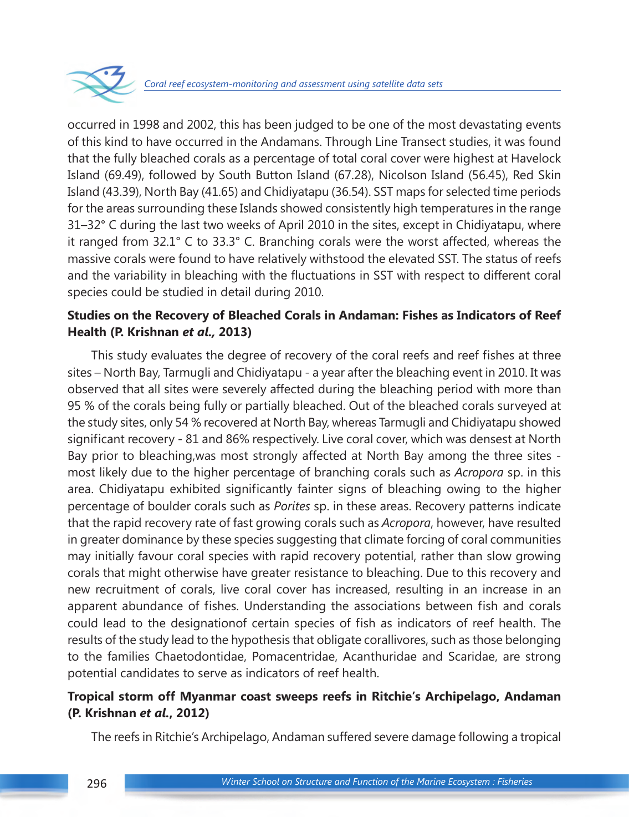

occurred in 1998 and 2002, this has been judged to be one of the most devastating events of this kind to have occurred in the Andamans. Through Line Transect studies, it was found that the fully bleached corals as a percentage of total coral cover were highest at Havelock Island (69.49), followed by South Button Island (67.28), Nicolson Island (56.45), Red Skin Island (43.39), North Bay (41.65) and Chidiyatapu (36.54). SST maps for selected time periods for the areas surrounding these Islands showed consistently high temperatures in the range 31–32° C during the last two weeks of April 2010 in the sites, except in Chidiyatapu, where it ranged from 32.1° C to 33.3° C. Branching corals were the worst affected, whereas the massive corals were found to have relatively withstood the elevated SST. The status of reefs and the variability in bleaching with the fluctuations in SST with respect to different coral species could be studied in detail during 2010.

#### **Studies on the Recovery of Bleached Corals in Andaman: Fishes as Indicators of Reef Health (P. Krishnan** *et al.,* **2013)**

This study evaluates the degree of recovery of the coral reefs and reef fishes at three sites – North Bay, Tarmugli and Chidiyatapu - a year after the bleaching event in 2010. It was observed that all sites were severely affected during the bleaching period with more than 95 % of the corals being fully or partially bleached. Out of the bleached corals surveyed at the study sites, only 54 % recovered at North Bay, whereas Tarmugli and Chidiyatapu showed significant recovery - 81 and 86% respectively. Live coral cover, which was densest at North Bay prior to bleaching,was most strongly affected at North Bay among the three sites most likely due to the higher percentage of branching corals such as *Acropora* sp. in this area. Chidiyatapu exhibited significantly fainter signs of bleaching owing to the higher percentage of boulder corals such as *Porites* sp. in these areas. Recovery patterns indicate that the rapid recovery rate of fast growing corals such as *Acropora*, however, have resulted in greater dominance by these species suggesting that climate forcing of coral communities may initially favour coral species with rapid recovery potential, rather than slow growing corals that might otherwise have greater resistance to bleaching. Due to this recovery and new recruitment of corals, live coral cover has increased, resulting in an increase in an apparent abundance of fishes. Understanding the associations between fish and corals could lead to the designationof certain species of fish as indicators of reef health. The results of the study lead to the hypothesis that obligate corallivores, such as those belonging to the families Chaetodontidae, Pomacentridae, Acanthuridae and Scaridae, are strong potential candidates to serve as indicators of reef health.

### **Tropical storm off Myanmar coast sweeps reefs in Ritchie's Archipelago, Andaman (P. Krishnan** *et al.***, 2012)**

The reefs in Ritchie's Archipelago, Andaman suffered severe damage following a tropical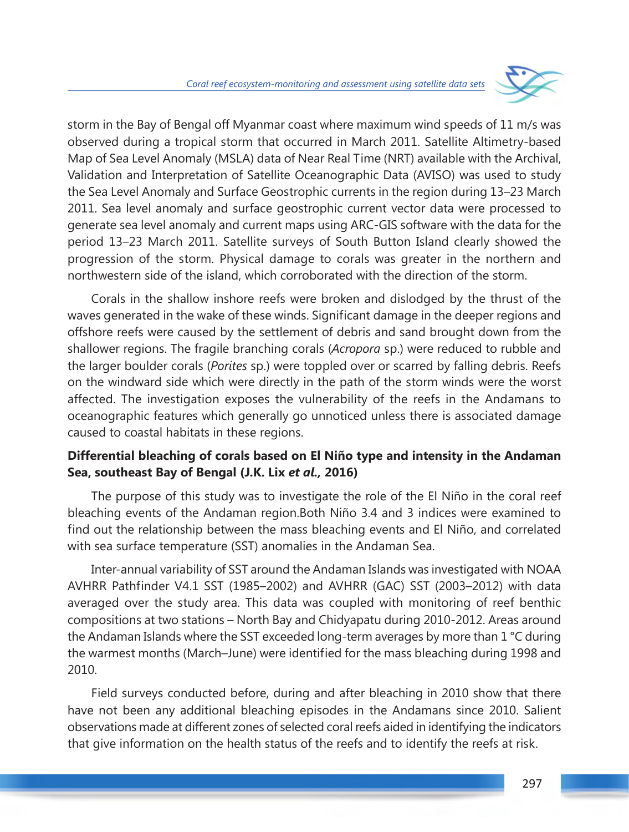

storm in the Bay of Bengal off Myanmar coast where maximum wind speeds of 11 m/s was observed during a tropical storm that occurred in March 2011. Satellite Altimetry-based Map of Sea Level Anomaly (MSLA) data of Near Real Time (NRT) available with the Archival, Validation and Interpretation of Satellite Oceanographic Data (AVISO) was used to study the Sea Level Anomaly and Surface Geostrophic currents in the region during 13–23 March 2011. Sea level anomaly and surface geostrophic current vector data were processed to generate sea level anomaly and current maps using ARC-GIS software with the data for the period 13–23 March 2011. Satellite surveys of South Button Island clearly showed the progression of the storm. Physical damage to corals was greater in the northern and northwestern side of the island, which corroborated with the direction of the storm.

Corals in the shallow inshore reefs were broken and dislodged by the thrust of the waves generated in the wake of these winds. Significant damage in the deeper regions and offshore reefs were caused by the settlement of debris and sand brought down from the shallower regions. The fragile branching corals (*Acropora* sp.) were reduced to rubble and the larger boulder corals (*Porites* sp.) were toppled over or scarred by falling debris. Reefs on the windward side which were directly in the path of the storm winds were the worst affected. The investigation exposes the vulnerability of the reefs in the Andamans to oceanographic features which generally go unnoticed unless there is associated damage caused to coastal habitats in these regions.

### **Differential bleaching of corals based on El Niño type and intensity in the Andaman Sea, southeast Bay of Bengal (J.K. Lix** *et al.,* **2016)**

The purpose of this study was to investigate the role of the El Niño in the coral reef bleaching events of the Andaman region.Both Niño 3.4 and 3 indices were examined to find out the relationship between the mass bleaching events and El Niño, and correlated with sea surface temperature (SST) anomalies in the Andaman Sea.

Inter-annual variability of SST around the Andaman Islands was investigated with NOAA AVHRR Pathfinder V4.1 SST (1985–2002) and AVHRR (GAC) SST (2003–2012) with data averaged over the study area. This data was coupled with monitoring of reef benthic compositions at two stations – North Bay and Chidyapatu during 2010-2012. Areas around the Andaman Islands where the SST exceeded long-term averages by more than 1 °C during the warmest months (March–June) were identified for the mass bleaching during 1998 and 2010.

Field surveys conducted before, during and after bleaching in 2010 show that there have not been any additional bleaching episodes in the Andamans since 2010. Salient observations made at different zones of selected coral reefs aided in identifying the indicators that give information on the health status of the reefs and to identify the reefs at risk.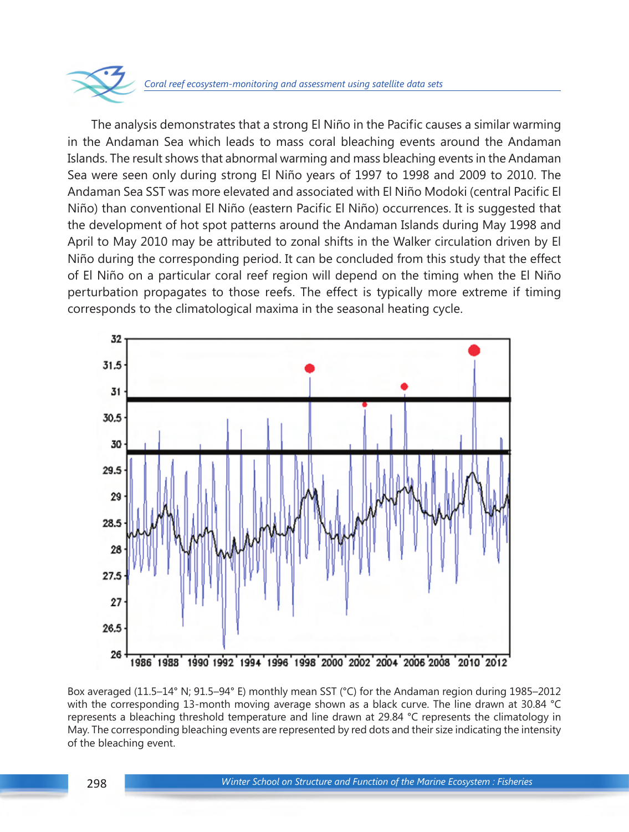

The analysis demonstrates that a strong El Niño in the Pacific causes a similar warming in the Andaman Sea which leads to mass coral bleaching events around the Andaman Islands. The result shows that abnormal warming and mass bleaching events in the Andaman Sea were seen only during strong El Niño years of 1997 to 1998 and 2009 to 2010. The Andaman Sea SST was more elevated and associated with El Niño Modoki (central Pacific El Niño) than conventional El Niño (eastern Pacific El Niño) occurrences. It is suggested that the development of hot spot patterns around the Andaman Islands during May 1998 and April to May 2010 may be attributed to zonal shifts in the Walker circulation driven by El Niño during the corresponding period. It can be concluded from this study that the effect of El Niño on a particular coral reef region will depend on the timing when the El Niño perturbation propagates to those reefs. The effect is typically more extreme if timing corresponds to the climatological maxima in the seasonal heating cycle.



Box averaged (11.5–14° N; 91.5–94° E) monthly mean SST (°C) for the Andaman region during 1985–2012 with the corresponding 13-month moving average shown as a black curve. The line drawn at 30.84 °C represents a bleaching threshold temperature and line drawn at 29.84 °C represents the climatology in May. The corresponding bleaching events are represented by red dots and their size indicating the intensity of the bleaching event.